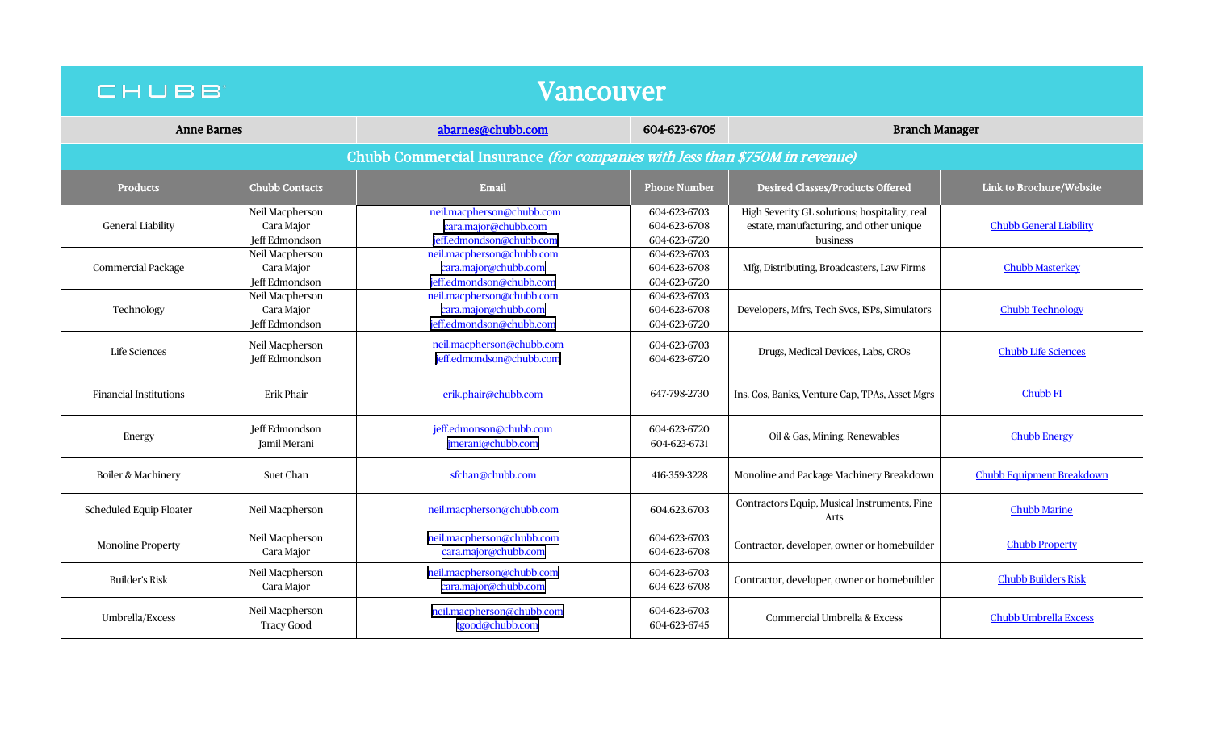| CHUBB                                                                       |                                                 | Vancouver                                                                     |                                              |                                                                                                      |                                  |  |  |  |  |
|-----------------------------------------------------------------------------|-------------------------------------------------|-------------------------------------------------------------------------------|----------------------------------------------|------------------------------------------------------------------------------------------------------|----------------------------------|--|--|--|--|
| <b>Anne Barnes</b>                                                          |                                                 | abarnes@chubb.com                                                             | 604-623-6705                                 | <b>Branch Manager</b>                                                                                |                                  |  |  |  |  |
| Chubb Commercial Insurance (for companies with less than \$750M in revenue) |                                                 |                                                                               |                                              |                                                                                                      |                                  |  |  |  |  |
| <b>Products</b>                                                             | <b>Chubb Contacts</b>                           | Email                                                                         | <b>Phone Number</b>                          | <b>Desired Classes/Products Offered</b>                                                              | Link to Brochure/Website         |  |  |  |  |
| <b>General Liability</b>                                                    | Neil Macpherson<br>Cara Major<br>Jeff Edmondson | neil.macpherson@chubb.com<br>cara.major@chubb.com<br>jeff.edmondson@chubb.com | 604-623-6703<br>604-623-6708<br>604-623-6720 | High Severity GL solutions; hospitality, real<br>estate, manufacturing, and other unique<br>business | <b>Chubb General Liability</b>   |  |  |  |  |
| Commercial Package                                                          | Neil Macpherson<br>Cara Major<br>Jeff Edmondson | neil.macpherson@chubb.com<br>cara.major@chubb.com<br>jeff.edmondson@chubb.com | 604-623-6703<br>604-623-6708<br>604-623-6720 | Mfg, Distributing, Broadcasters, Law Firms                                                           | <b>Chubb Masterkey</b>           |  |  |  |  |
| Technology                                                                  | Neil Macpherson<br>Cara Major<br>Jeff Edmondson | neil.macpherson@chubb.com<br>cara.major@chubb.com<br>jeff.edmondson@chubb.com | 604-623-6703<br>604-623-6708<br>604-623-6720 | Developers, Mfrs, Tech Svcs, ISPs, Simulators                                                        | <b>Chubb Technology</b>          |  |  |  |  |
| Life Sciences                                                               | Neil Macpherson<br>Jeff Edmondson               | neil.macpherson@chubb.com<br>jeff.edmondson@chubb.com                         | 604-623-6703<br>604-623-6720                 | Drugs, Medical Devices, Labs, CROs                                                                   | <b>Chubb Life Sciences</b>       |  |  |  |  |
| <b>Financial Institutions</b>                                               | <b>Erik Phair</b>                               | erik.phair@chubb.com                                                          | 647-798-2730                                 | Ins. Cos, Banks, Venture Cap, TPAs, Asset Mgrs                                                       | Chubb <sub>FI</sub>              |  |  |  |  |
| Energy                                                                      | Jeff Edmondson<br>Jamil Merani                  | jeff.edmonson@chubb.com<br>jmerani@chubb.com                                  | 604-623-6720<br>604-623-6731                 | Oil & Gas, Mining, Renewables                                                                        | <b>Chubb Energy</b>              |  |  |  |  |
| Boiler & Machinery                                                          | <b>Suet Chan</b>                                | sfchan@chubb.com                                                              | 416-359-3228                                 | Monoline and Package Machinery Breakdown                                                             | <b>Chubb Equipment Breakdown</b> |  |  |  |  |
| Scheduled Equip Floater                                                     | Neil Macpherson                                 | neil.macpherson@chubb.com                                                     | 604.623.6703                                 | Contractors Equip, Musical Instruments, Fine<br>Arts                                                 | <b>Chubb Marine</b>              |  |  |  |  |
| <b>Monoline Property</b>                                                    | Neil Macpherson<br>Cara Major                   | neil.macpherson@chubb.com<br>cara.major@chubb.com                             | 604-623-6703<br>604-623-6708                 | Contractor, developer, owner or homebuilder                                                          | <b>Chubb Property</b>            |  |  |  |  |
| <b>Builder's Risk</b>                                                       | Neil Macpherson<br>Cara Major                   | neil.macpherson@chubb.com<br>cara.major@chubb.com                             | 604-623-6703<br>604-623-6708                 | Contractor, developer, owner or homebuilder                                                          | <b>Chubb Builders Risk</b>       |  |  |  |  |
| Umbrella/Excess                                                             | Neil Macpherson<br>Tracy Good                   | neil.macpherson@chubb.com<br>tgood@chubb.com                                  | 604-623-6703<br>604-623-6745                 | Commercial Umbrella & Excess                                                                         | <b>Chubb Umbrella Excess</b>     |  |  |  |  |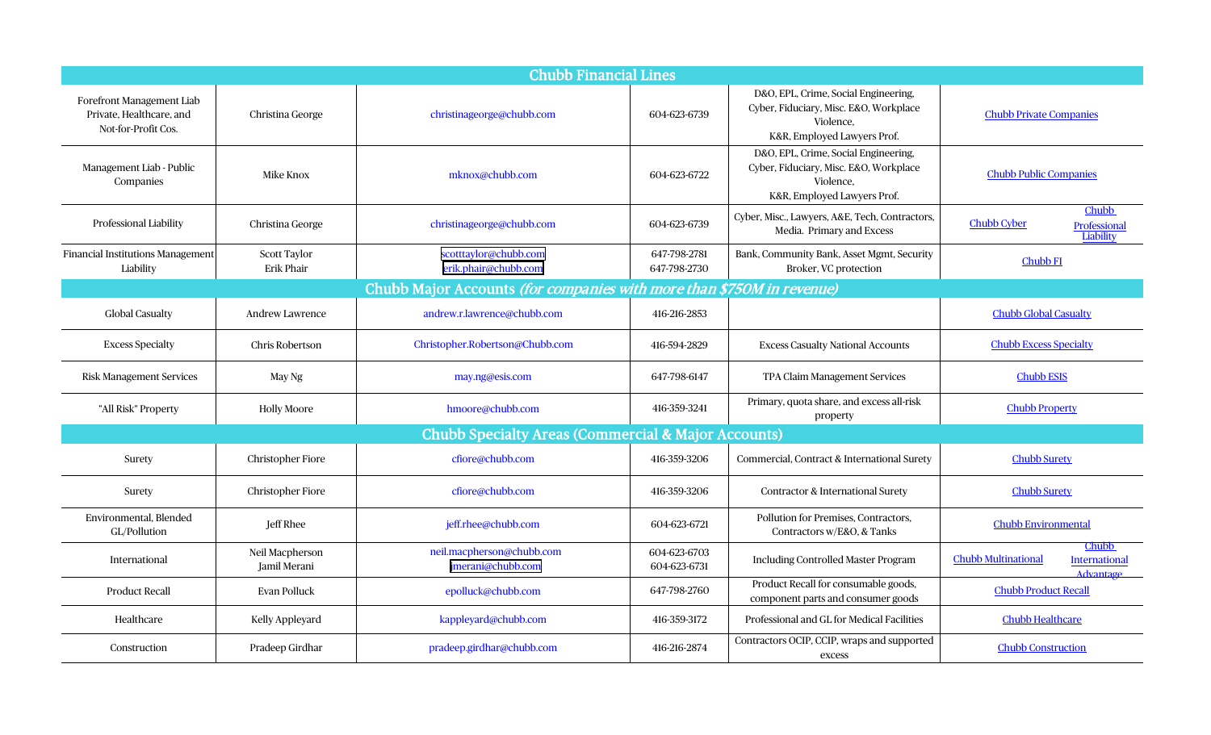| <b>Chubb Financial Lines</b>                                                 |                                   |                                                |                              |                                                                                                                            |                                                                          |  |  |
|------------------------------------------------------------------------------|-----------------------------------|------------------------------------------------|------------------------------|----------------------------------------------------------------------------------------------------------------------------|--------------------------------------------------------------------------|--|--|
| Forefront Management Liab<br>Private, Healthcare, and<br>Not-for-Profit Cos. | Christina George                  | christinageorge@chubb.com                      | 604-623-6739                 | D&O, EPL, Crime, Social Engineering,<br>Cyber, Fiduciary, Misc. E&O, Workplace<br>Violence,<br>K&R, Employed Lawyers Prof. | <b>Chubb Private Companies</b>                                           |  |  |
| Management Liab - Public<br>Companies                                        | Mike Knox                         | mknox@chubb.com                                | 604-623-6722                 | D&O, EPL, Crime, Social Engineering,<br>Cyber, Fiduciary, Misc. E&O, Workplace<br>Violence.<br>K&R, Employed Lawyers Prof. | <b>Chubb Public Companies</b>                                            |  |  |
| Professional Liability                                                       | Christina George                  | christinageorge@chubb.com                      | 604-623-6739                 | Cyber, Misc., Lawyers, A&E, Tech, Contractors,<br>Media. Primary and Excess                                                | Chubb<br><b>Chubb Cyber</b><br>Professional<br>Liability                 |  |  |
| <b>Financial Institutions Management</b><br>Liability                        | <b>Scott Taylor</b><br>Erik Phair | scotttaylor@chubb.com<br>erik.phair@chubb.com  | 647-798-2781<br>647-798-2730 | Bank, Community Bank, Asset Mgmt, Security<br>Broker, VC protection                                                        | <b>Chubb FI</b>                                                          |  |  |
| Chubb Major Accounts (for companies with more than \$750M in revenue)        |                                   |                                                |                              |                                                                                                                            |                                                                          |  |  |
| <b>Global Casualty</b>                                                       | <b>Andrew Lawrence</b>            | andrew.r.lawrence@chubb.com                    | 416-216-2853                 |                                                                                                                            | <b>Chubb Global Casualty</b>                                             |  |  |
| <b>Excess Specialty</b>                                                      | <b>Chris Robertson</b>            | Christopher.Robertson@Chubb.com                | 416-594-2829                 | <b>Excess Casualty National Accounts</b>                                                                                   | <b>Chubb Excess Specialty</b>                                            |  |  |
| <b>Risk Management Services</b>                                              | May Ng                            | may.ng@esis.com                                | 647-798-6147                 | TPA Claim Management Services                                                                                              | <b>Chubb ESIS</b>                                                        |  |  |
| "All Risk" Property                                                          | <b>Holly Moore</b>                | hmoore@chubb.com                               | 416-359-3241                 | Primary, quota share, and excess all-risk<br>property                                                                      | <b>Chubb Property</b>                                                    |  |  |
| <b>Chubb Specialty Areas (Commercial &amp; Major Accounts)</b>               |                                   |                                                |                              |                                                                                                                            |                                                                          |  |  |
| Surety                                                                       | <b>Christopher Fiore</b>          | cfiore@chubb.com                               | 416-359-3206                 | Commercial, Contract & International Surety                                                                                | <b>Chubb Surety</b>                                                      |  |  |
| Surety                                                                       | <b>Christopher Fiore</b>          | cfiore@chubb.com                               | 416-359-3206                 | Contractor & International Surety                                                                                          | <b>Chubb Surety</b>                                                      |  |  |
| Environmental, Blended<br>GL/Pollution                                       | <b>Jeff Rhee</b>                  | jeff.rhee@chubb.com                            | 604-623-6721                 | Pollution for Premises, Contractors,<br>Contractors w/E&O, & Tanks                                                         | <b>Chubb Environmental</b>                                               |  |  |
| International                                                                | Neil Macpherson<br>Jamil Merani   | neil.macpherson@chubb.com<br>jmerani@chubb.com | 604-623-6703<br>604-623-6731 | <b>Including Controlled Master Program</b>                                                                                 | Chubb<br>Chubb Multinational<br><b>International</b><br><b>Advantage</b> |  |  |
| <b>Product Recall</b>                                                        | Evan Polluck                      | epolluck@chubb.com                             | 647-798-2760                 | Product Recall for consumable goods,<br>component parts and consumer goods                                                 | <b>Chubb Product Recall</b>                                              |  |  |
| Healthcare                                                                   | Kelly Appleyard                   | kappleyard@chubb.com                           | 416-359-3172                 | Professional and GL for Medical Facilities                                                                                 | <b>Chubb Healthcare</b>                                                  |  |  |
| Construction                                                                 | Pradeep Girdhar                   | pradeep.girdhar@chubb.com                      | 416-216-2874                 | Contractors OCIP, CCIP, wraps and supported<br>excess                                                                      | <b>Chubb Construction</b>                                                |  |  |